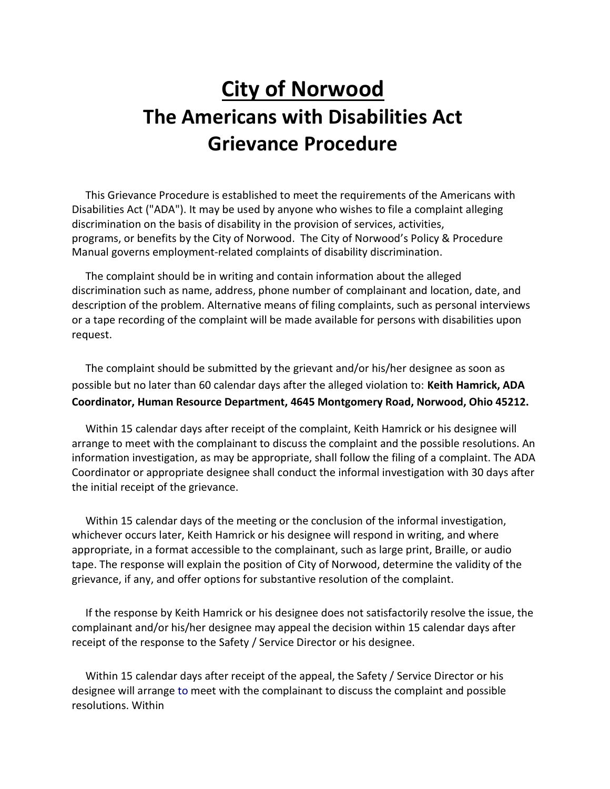# City of Norwood The Americans with Disabilities Act Grievance Procedure

 This Grievance Procedure is established to meet the requirements of the Americans with Disabilities Act ("ADA"). It may be used by anyone who wishes to file a complaint alleging discrimination on the basis of disability in the provision of services, activities, programs, or benefits by the City of Norwood. The City of Norwood's Policy & Procedure Manual governs employment-related complaints of disability discrimination.

 The complaint should be in writing and contain information about the alleged discrimination such as name, address, phone number of complainant and location, date, and description of the problem. Alternative means of filing complaints, such as personal interviews or a tape recording of the complaint will be made available for persons with disabilities upon request.

 The complaint should be submitted by the grievant and/or his/her designee as soon as possible but no later than 60 calendar days after the alleged violation to: Keith Hamrick, ADA Coordinator, Human Resource Department, 4645 Montgomery Road, Norwood, Ohio 45212.

 Within 15 calendar days after receipt of the complaint, Keith Hamrick or his designee will arrange to meet with the complainant to discuss the complaint and the possible resolutions. An information investigation, as may be appropriate, shall follow the filing of a complaint. The ADA Coordinator or appropriate designee shall conduct the informal investigation with 30 days after the initial receipt of the grievance.

 Within 15 calendar days of the meeting or the conclusion of the informal investigation, whichever occurs later, Keith Hamrick or his designee will respond in writing, and where appropriate, in a format accessible to the complainant, such as large print, Braille, or audio tape. The response will explain the position of City of Norwood, determine the validity of the grievance, if any, and offer options for substantive resolution of the complaint.

 If the response by Keith Hamrick or his designee does not satisfactorily resolve the issue, the complainant and/or his/her designee may appeal the decision within 15 calendar days after receipt of the response to the Safety / Service Director or his designee.

 Within 15 calendar days after receipt of the appeal, the Safety / Service Director or his designee will arrange to meet with the complainant to discuss the complaint and possible resolutions. Within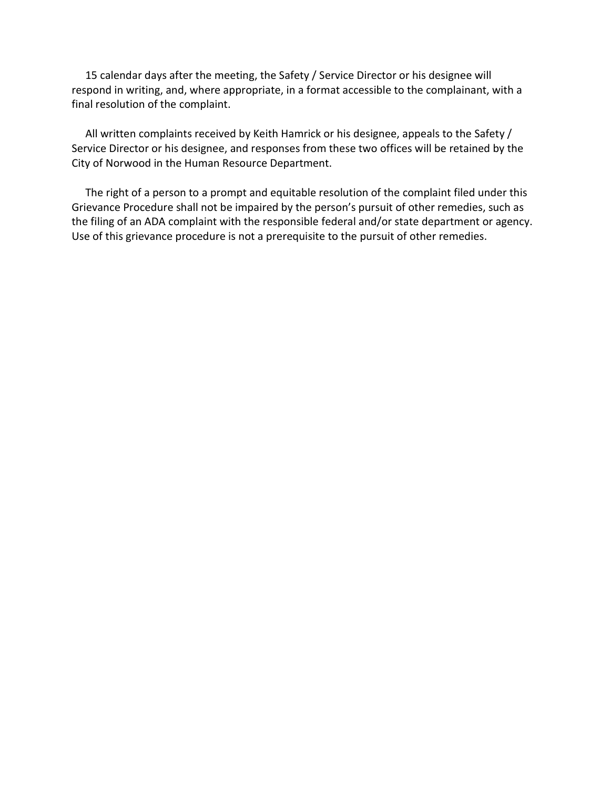15 calendar days after the meeting, the Safety / Service Director or his designee will respond in writing, and, where appropriate, in a format accessible to the complainant, with a final resolution of the complaint.

 All written complaints received by Keith Hamrick or his designee, appeals to the Safety / Service Director or his designee, and responses from these two offices will be retained by the City of Norwood in the Human Resource Department.

 The right of a person to a prompt and equitable resolution of the complaint filed under this Grievance Procedure shall not be impaired by the person's pursuit of other remedies, such as the filing of an ADA complaint with the responsible federal and/or state department or agency. Use of this grievance procedure is not a prerequisite to the pursuit of other remedies.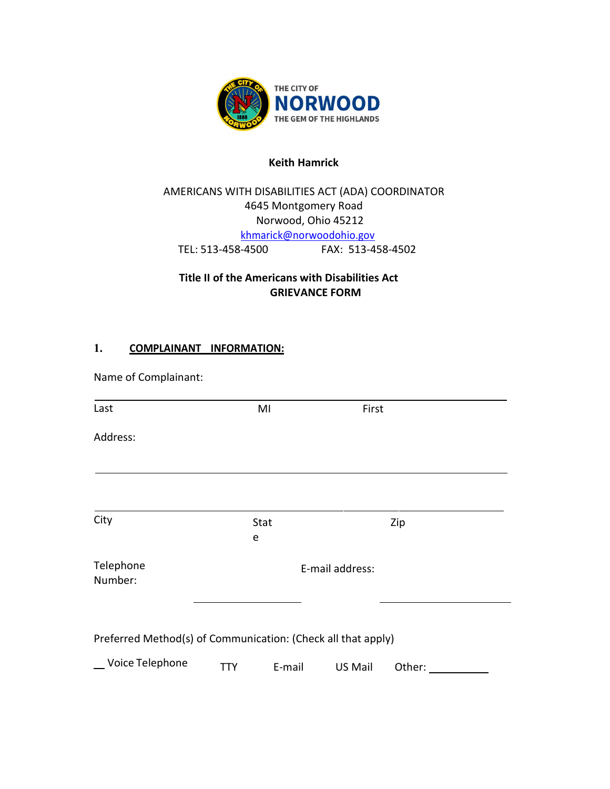

#### Keith Hamrick

## AMERICANS WITH DISABILITIES ACT (ADA) COORDINATOR 4645 Montgomery Road Norwood, Ohio 45212 khmarick@norwoodohio.gov TEL: 513-458-4500 FAX: 513-458-4502

### Title II of the Americans with Disabilities Act GRIEVANCE FORM

### 1. COMPLAINANT INFORMATION:

| Name of Complainant:                                         |                 |        |         |        |  |
|--------------------------------------------------------------|-----------------|--------|---------|--------|--|
| Last                                                         |                 | MI     | First   |        |  |
| Address:                                                     |                 |        |         |        |  |
|                                                              |                 |        |         |        |  |
| City                                                         | Stat<br>e       |        |         | Zip    |  |
| Telephone<br>Number:                                         | E-mail address: |        |         |        |  |
| Preferred Method(s) of Communication: (Check all that apply) |                 |        |         |        |  |
| _ Voice Telephone                                            | <b>TTY</b>      | E-mail | US Mail | Other: |  |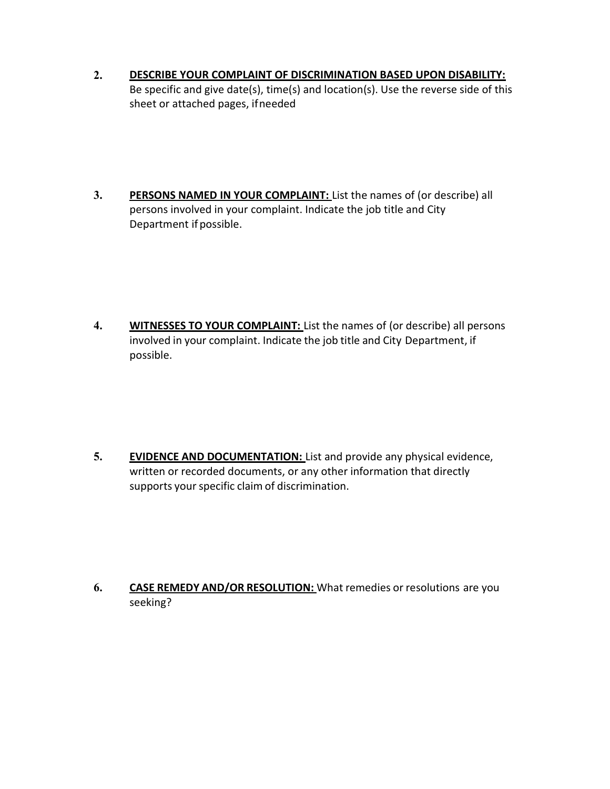- 2. DESCRIBE YOUR COMPLAINT OF DISCRIMINATION BASED UPON DISABILITY: Be specific and give date(s), time(s) and location(s). Use the reverse side of this sheet or attached pages, if needed
- 3. PERSONS NAMED IN YOUR COMPLAINT: List the names of (or describe) all persons involved in your complaint. Indicate the job title and City Department if possible.

4. WITNESSES TO YOUR COMPLAINT: List the names of (or describe) all persons involved in your complaint. Indicate the job title and City Department, if possible.

5. EVIDENCE AND DOCUMENTATION: List and provide any physical evidence, written or recorded documents, or any other information that directly supports your specific claim of discrimination.

6. CASE REMEDY AND/OR RESOLUTION: What remedies or resolutions are you seeking?